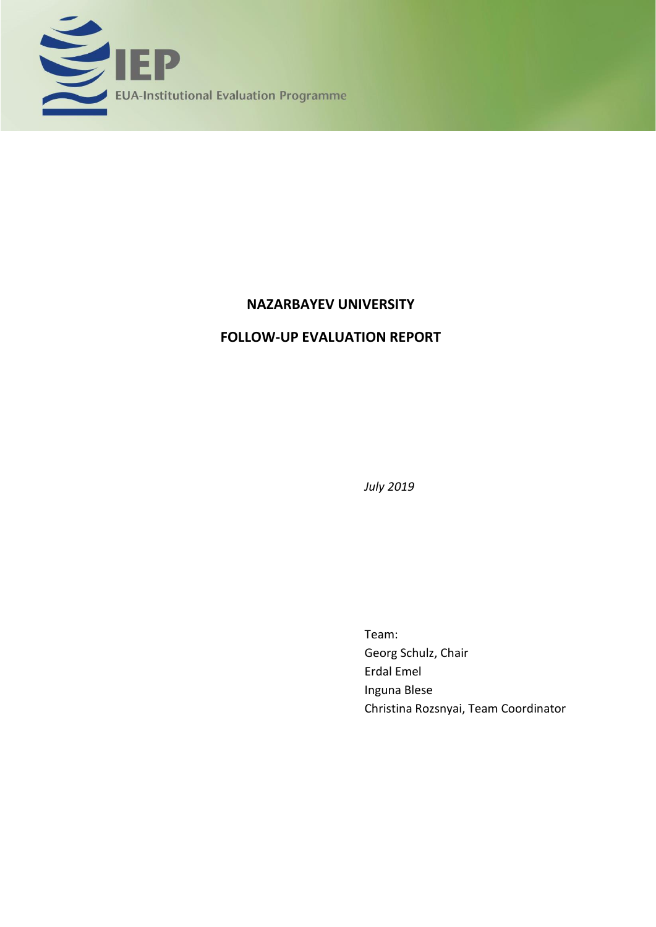

# **NAZARBAYEV UNIVERSITY**

# **FOLLOW-UP EVALUATION REPORT**

*July 2019*

Team: Georg Schulz, Chair Erdal Emel Inguna Blese Christina Rozsnyai, Team Coordinator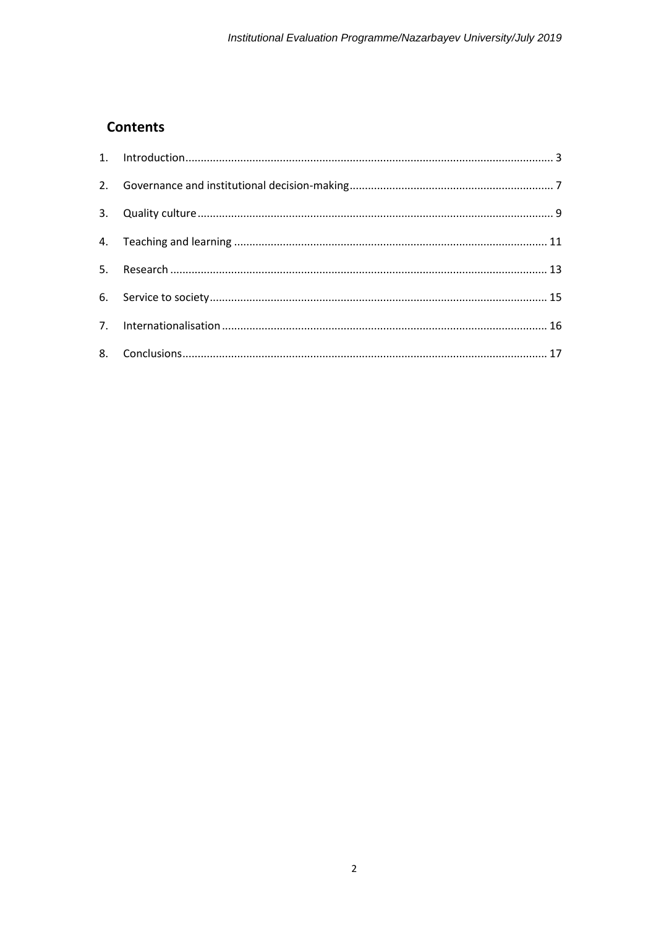# **Contents**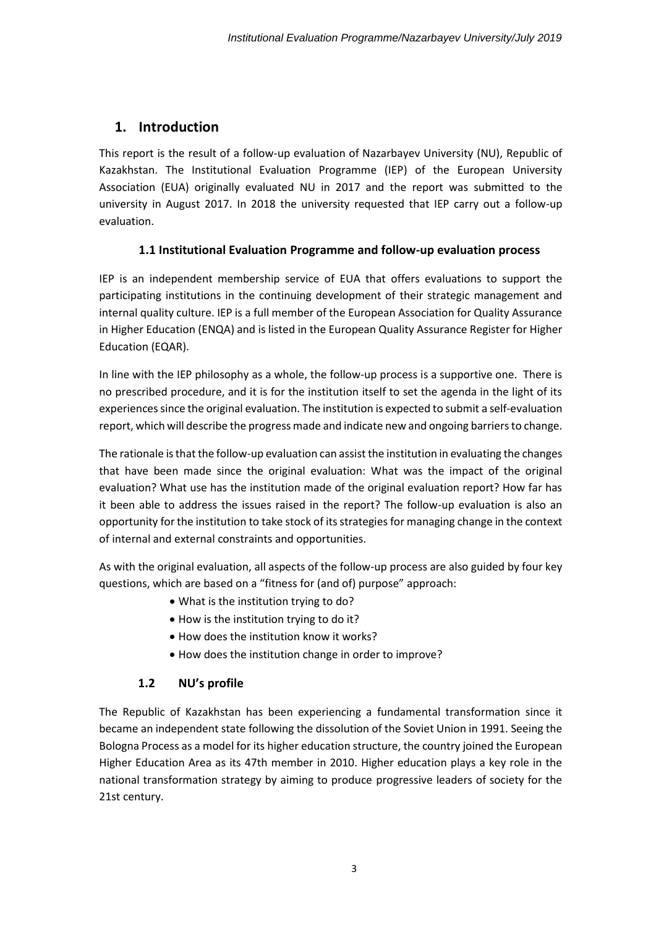## <span id="page-2-0"></span>**1. Introduction**

This report is the result of a follow-up evaluation of Nazarbayev University (NU), Republic of Kazakhstan. The Institutional Evaluation Programme (IEP) of the European University Association (EUA) originally evaluated NU in 2017 and the report was submitted to the university in August 2017. In 2018 the university requested that IEP carry out a follow-up evaluation.

### **1.1 Institutional Evaluation Programme and follow-up evaluation process**

IEP is an independent membership service of EUA that offers evaluations to support the participating institutions in the continuing development of their strategic management and internal quality culture. IEP is a full member of the European Association for Quality Assurance in Higher Education (ENQA) and is listed in the European Quality Assurance Register for Higher Education (EQAR).

In line with the IEP philosophy as a whole, the follow-up process is a supportive one. There is no prescribed procedure, and it is for the institution itself to set the agenda in the light of its experiences since the original evaluation. The institution is expected to submit a self-evaluation report, which will describe the progress made and indicate new and ongoing barriers to change.

The rationale is that the follow-up evaluation can assist the institution in evaluating the changes that have been made since the original evaluation: What was the impact of the original evaluation? What use has the institution made of the original evaluation report? How far has it been able to address the issues raised in the report? The follow-up evaluation is also an opportunity for the institution to take stock of its strategies for managing change in the context of internal and external constraints and opportunities.

As with the original evaluation, all aspects of the follow-up process are also guided by four key questions, which are based on a "fitness for (and of) purpose" approach:

- What is the institution trying to do?
- How is the institution trying to do it?
- How does the institution know it works?
- How does the institution change in order to improve?

### **1.2 NU's profile**

The Republic of Kazakhstan has been experiencing a fundamental transformation since it became an independent state following the dissolution of the Soviet Union in 1991. Seeing the Bologna Process as a model for its higher education structure, the country joined the European Higher Education Area as its 47th member in 2010. Higher education plays a key role in the national transformation strategy by aiming to produce progressive leaders of society for the 21st century.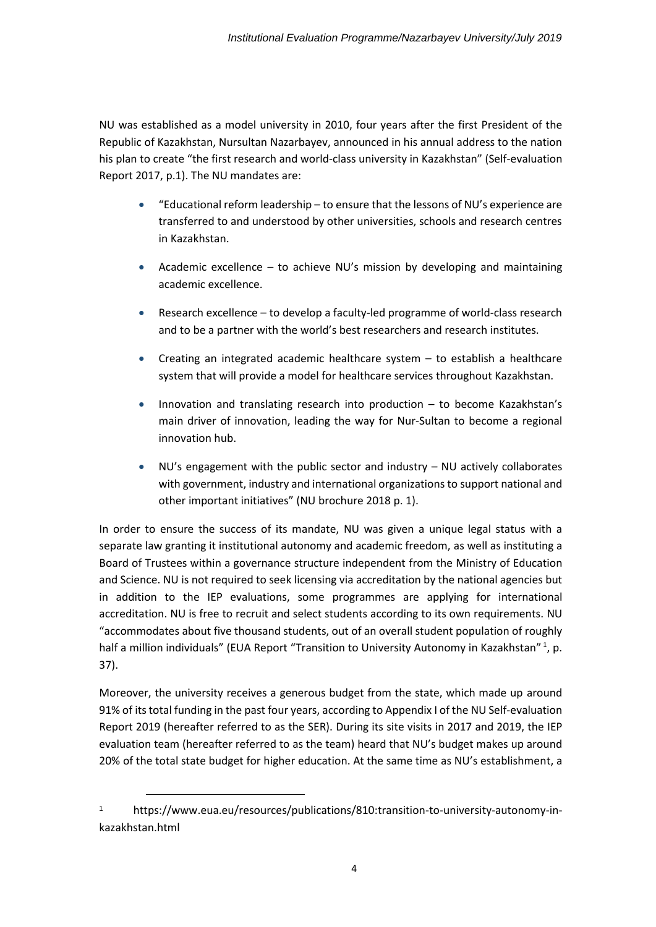NU was established as a model university in 2010, four years after the first President of the Republic of Kazakhstan, Nursultan Nazarbayev, announced in his annual address to the nation his plan to create "the first research and world-class university in Kazakhstan" (Self-evaluation Report 2017, p.1). The NU mandates are:

- "Educational reform leadership to ensure that the lessons of NU's experience are transferred to and understood by other universities, schools and research centres in Kazakhstan.
- Academic excellence to achieve NU's mission by developing and maintaining academic excellence.
- Research excellence to develop a faculty-led programme of world-class research and to be a partner with the world's best researchers and research institutes.
- Creating an integrated academic healthcare system to establish a healthcare system that will provide a model for healthcare services throughout Kazakhstan.
- Innovation and translating research into production to become Kazakhstan's main driver of innovation, leading the way for Nur-Sultan to become a regional innovation hub.
- NU's engagement with the public sector and industry NU actively collaborates with government, industry and international organizations to support national and other important initiatives" (NU brochure 2018 p. 1).

In order to ensure the success of its mandate, NU was given a unique legal status with a separate law granting it institutional autonomy and academic freedom, as well as instituting a Board of Trustees within a governance structure independent from the Ministry of Education and Science. NU is not required to seek licensing via accreditation by the national agencies but in addition to the IEP evaluations, some programmes are applying for international accreditation. NU is free to recruit and select students according to its own requirements. NU "accommodates about five thousand students, out of an overall student population of roughly half a million individuals" (EUA Report "Transition to University Autonomy in Kazakhstan"<sup>1</sup>, p. 37).

Moreover, the university receives a generous budget from the state, which made up around 91% of its total funding in the past four years, according to Appendix I of the NU Self-evaluation Report 2019 (hereafter referred to as the SER). During its site visits in 2017 and 2019, the IEP evaluation team (hereafter referred to as the team) heard that NU's budget makes up around 20% of the total state budget for higher education. At the same time as NU's establishment, a

[https://www.eua.eu/resources/publications/810:transition-to-university-autonomy-in](https://www.eua.eu/resources/publications/810:transition-to-university-autonomy-in-kazakhstan.html)[kazakhstan.html](https://www.eua.eu/resources/publications/810:transition-to-university-autonomy-in-kazakhstan.html)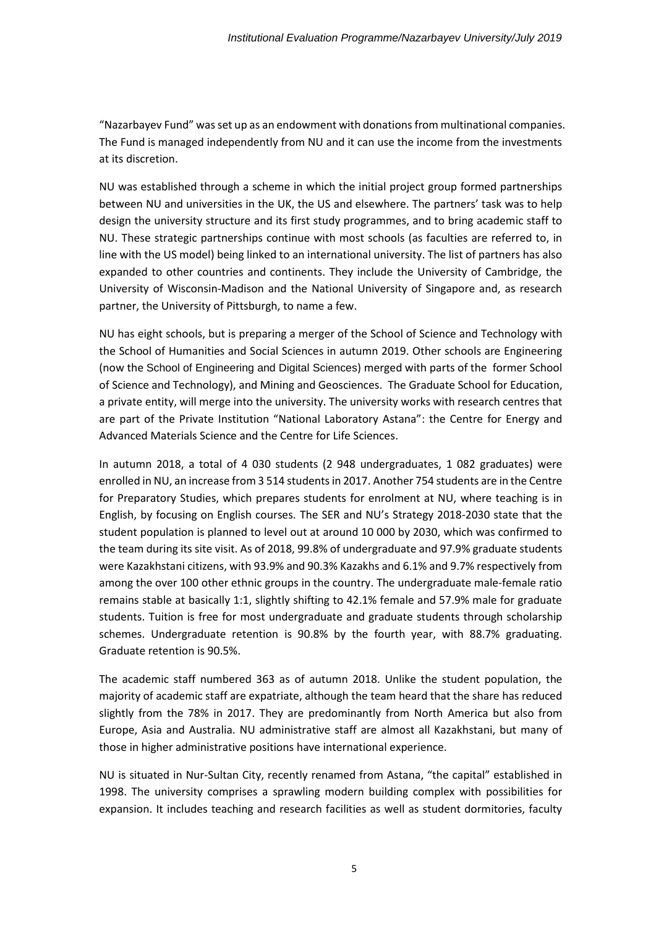"Nazarbayev Fund" was set up as an endowment with donations from multinational companies. The Fund is managed independently from NU and it can use the income from the investments at its discretion.

NU was established through a scheme in which the initial project group formed partnerships between NU and universities in the UK, the US and elsewhere. The partners' task was to help design the university structure and its first study programmes, and to bring academic staff to NU. These strategic partnerships continue with most schools (as faculties are referred to, in line with the US model) being linked to an international university. The list of partners has also expanded to other countries and continents. They include the University of Cambridge, the University of Wisconsin-Madison and the National University of Singapore and, as research partner, the University of Pittsburgh, to name a few.

NU has eight schools, but is preparing a merger of the School of Science and Technology with the School of Humanities and Social Sciences in autumn 2019. Other schools are Engineering (now the [School of Engineering and Digital Sciences](javascript:void(0))) merged with parts of the former School of Science and Technology), and Mining and Geosciences. The Graduate School for Education, a private entity, will merge into the university. The university works with research centres that are part of the Private Institution "National Laboratory Astana": the Centre for Energy and Advanced Materials Science and the Centre for Life Sciences.

In autumn 2018, a total of 4 030 students (2 948 undergraduates, 1 082 graduates) were enrolled in NU, an increase from 3 514 students in 2017. Another 754 students are in the Centre for Preparatory Studies, which prepares students for enrolment at NU, where teaching is in English, by focusing on English courses. The SER and NU's Strategy 2018-2030 state that the student population is planned to level out at around 10 000 by 2030, which was confirmed to the team during its site visit. As of 2018, 99.8% of undergraduate and 97.9% graduate students were Kazakhstani citizens, with 93.9% and 90.3% Kazakhs and 6.1% and 9.7% respectively from among the over 100 other ethnic groups in the country. The undergraduate male-female ratio remains stable at basically 1:1, slightly shifting to 42.1% female and 57.9% male for graduate students. Tuition is free for most undergraduate and graduate students through scholarship schemes. Undergraduate retention is 90.8% by the fourth year, with 88.7% graduating. Graduate retention is 90.5%.

The academic staff numbered 363 as of autumn 2018. Unlike the student population, the majority of academic staff are expatriate, although the team heard that the share has reduced slightly from the 78% in 2017. They are predominantly from North America but also from Europe, Asia and Australia. NU administrative staff are almost all Kazakhstani, but many of those in higher administrative positions have international experience.

NU is situated in Nur-Sultan City, recently renamed from Astana, "the capital" established in 1998. The university comprises a sprawling modern building complex with possibilities for expansion. It includes teaching and research facilities as well as student dormitories, faculty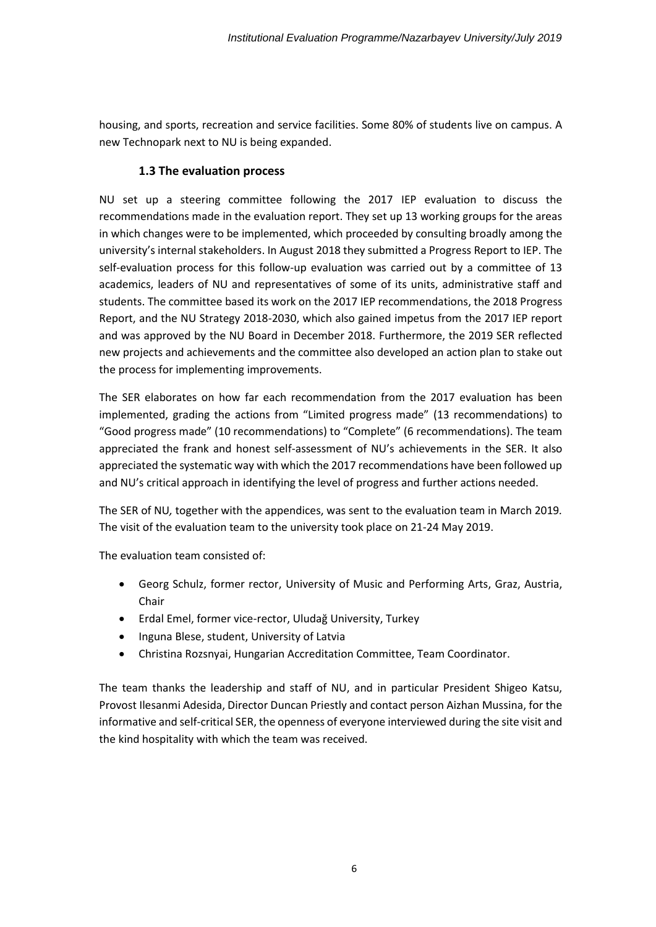housing, and sports, recreation and service facilities. Some 80% of students live on campus. A new Technopark next to NU is being expanded.

#### **1.3 The evaluation process**

NU set up a steering committee following the 2017 IEP evaluation to discuss the recommendations made in the evaluation report. They set up 13 working groups for the areas in which changes were to be implemented, which proceeded by consulting broadly among the university's internal stakeholders. In August 2018 they submitted a Progress Report to IEP. The self-evaluation process for this follow-up evaluation was carried out by a committee of 13 academics, leaders of NU and representatives of some of its units, administrative staff and students. The committee based its work on the 2017 IEP recommendations, the 2018 Progress Report, and the NU Strategy 2018-2030, which also gained impetus from the 2017 IEP report and was approved by the NU Board in December 2018. Furthermore, the 2019 SER reflected new projects and achievements and the committee also developed an action plan to stake out the process for implementing improvements.

The SER elaborates on how far each recommendation from the 2017 evaluation has been implemented, grading the actions from "Limited progress made" (13 recommendations) to "Good progress made" (10 recommendations) to "Complete" (6 recommendations). The team appreciated the frank and honest self-assessment of NU's achievements in the SER. It also appreciated the systematic way with which the 2017 recommendations have been followed up and NU's critical approach in identifying the level of progress and further actions needed.

The SER of NU*,* together with the appendices, was sent to the evaluation team in March 2019*.* The visit of the evaluation team to the university took place on 21-24 May 2019.

The evaluation team consisted of:

- Georg Schulz, former rector, University of Music and Performing Arts, Graz, Austria, Chair
- Erdal Emel, former vice-rector, Uludağ University, Turkey
- Inguna Blese, student, University of Latvia
- Christina Rozsnyai, Hungarian Accreditation Committee, Team Coordinator.

The team thanks the leadership and staff of NU, and in particular President Shigeo Katsu, Provost Ilesanmi Adesida, Director Duncan Priestly and contact person Aizhan Mussina, for the informative and self-critical SER, the openness of everyone interviewed during the site visit and the kind hospitality with which the team was received.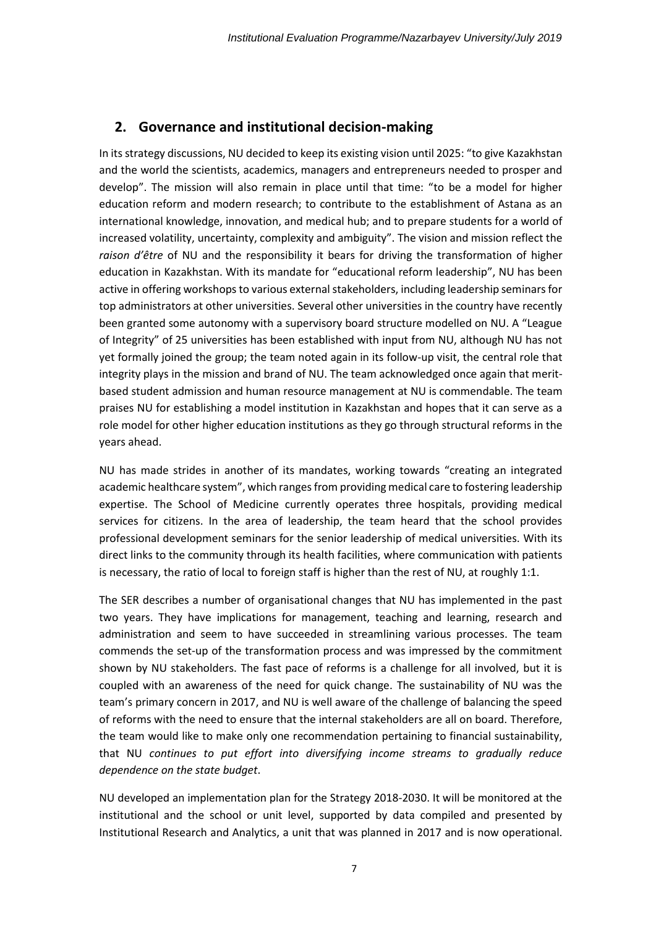## <span id="page-6-0"></span>**2. Governance and institutional decision-making**

In its strategy discussions, NU decided to keep its existing vision until 2025: "to give Kazakhstan and the world the scientists, academics, managers and entrepreneurs needed to prosper and develop". The mission will also remain in place until that time: "to be a model for higher education reform and modern research; to contribute to the establishment of Astana as an international knowledge, innovation, and medical hub; and to prepare students for a world of increased volatility, uncertainty, complexity and ambiguity". The vision and mission reflect the *raison d'être* of NU and the responsibility it bears for driving the transformation of higher education in Kazakhstan. With its mandate for "educational reform leadership", NU has been active in offering workshops to various external stakeholders, including leadership seminars for top administrators at other universities. Several other universities in the country have recently been granted some autonomy with a supervisory board structure modelled on NU. A "League of Integrity" of 25 universities has been established with input from NU, although NU has not yet formally joined the group; the team noted again in its follow-up visit, the central role that integrity plays in the mission and brand of NU. The team acknowledged once again that meritbased student admission and human resource management at NU is commendable. The team praises NU for establishing a model institution in Kazakhstan and hopes that it can serve as a role model for other higher education institutions as they go through structural reforms in the years ahead.

NU has made strides in another of its mandates, working towards "creating an integrated academic healthcare system", which ranges from providing medical care to fostering leadership expertise. The School of Medicine currently operates three hospitals, providing medical services for citizens. In the area of leadership, the team heard that the school provides professional development seminars for the senior leadership of medical universities. With its direct links to the community through its health facilities, where communication with patients is necessary, the ratio of local to foreign staff is higher than the rest of NU, at roughly 1:1.

The SER describes a number of organisational changes that NU has implemented in the past two years. They have implications for management, teaching and learning, research and administration and seem to have succeeded in streamlining various processes. The team commends the set-up of the transformation process and was impressed by the commitment shown by NU stakeholders. The fast pace of reforms is a challenge for all involved, but it is coupled with an awareness of the need for quick change. The sustainability of NU was the team's primary concern in 2017, and NU is well aware of the challenge of balancing the speed of reforms with the need to ensure that the internal stakeholders are all on board. Therefore, the team would like to make only one recommendation pertaining to financial sustainability, that NU *continues to put effort into diversifying income streams to gradually reduce dependence on the state budget*.

NU developed an implementation plan for the Strategy 2018-2030. It will be monitored at the institutional and the school or unit level, supported by data compiled and presented by Institutional Research and Analytics, a unit that was planned in 2017 and is now operational.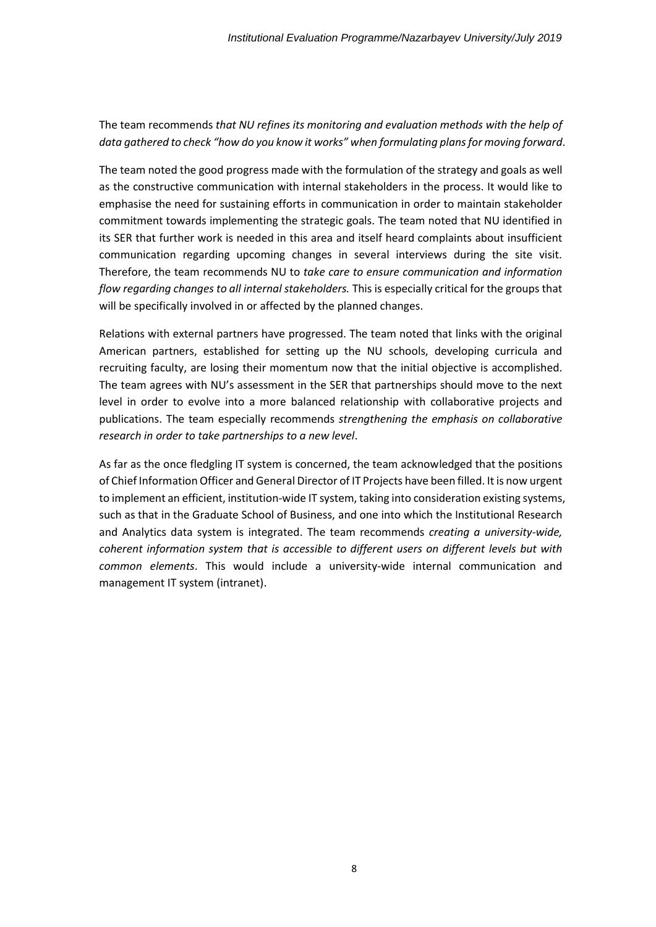### The team recommends *that NU refines its monitoring and evaluation methods with the help of data gathered to check "how do you know it works" when formulating plans for moving forward*.

The team noted the good progress made with the formulation of the strategy and goals as well as the constructive communication with internal stakeholders in the process. It would like to emphasise the need for sustaining efforts in communication in order to maintain stakeholder commitment towards implementing the strategic goals. The team noted that NU identified in its SER that further work is needed in this area and itself heard complaints about insufficient communication regarding upcoming changes in several interviews during the site visit. Therefore, the team recommends NU to *take care to ensure communication and information flow regarding changes to all internal stakeholders.* This is especially critical for the groups that will be specifically involved in or affected by the planned changes.

Relations with external partners have progressed. The team noted that links with the original American partners, established for setting up the NU schools, developing curricula and recruiting faculty, are losing their momentum now that the initial objective is accomplished. The team agrees with NU's assessment in the SER that partnerships should move to the next level in order to evolve into a more balanced relationship with collaborative projects and publications. The team especially recommends *strengthening the emphasis on collaborative research in order to take partnerships to a new level*.

As far as the once fledgling IT system is concerned, the team acknowledged that the positions of Chief Information Officer and General Director of IT Projects have been filled. It is now urgent to implement an efficient, institution-wide IT system, taking into consideration existing systems, such as that in the Graduate School of Business, and one into which the Institutional Research and Analytics data system is integrated. The team recommends *creating a university-wide, coherent information system that is accessible to different users on different levels but with common elements*. This would include a university-wide internal communication and management IT system (intranet).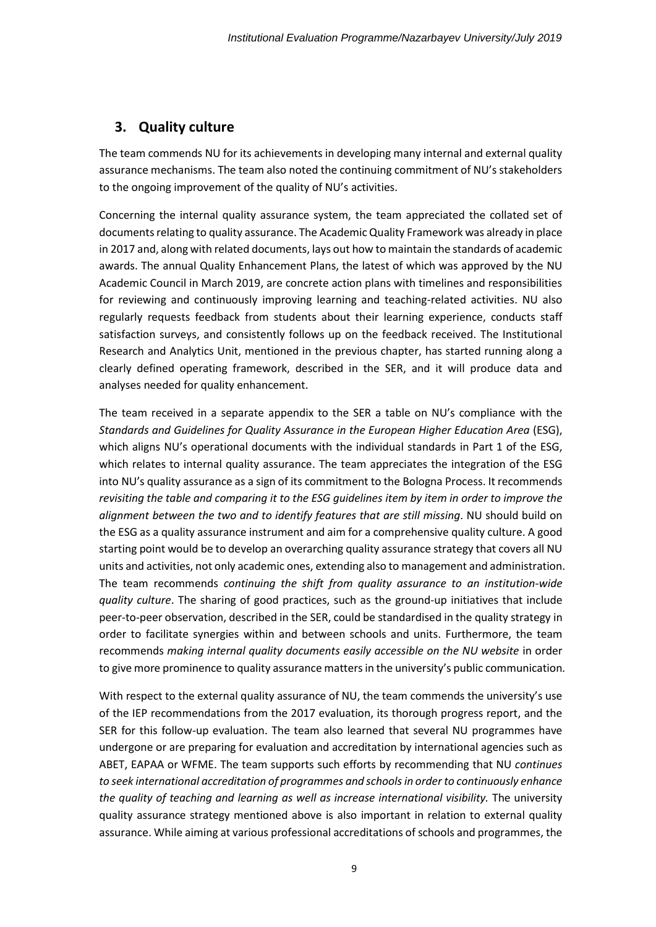## <span id="page-8-0"></span>**3. Quality culture**

The team commends NU for its achievements in developing many internal and external quality assurance mechanisms. The team also noted the continuing commitment of NU's stakeholders to the ongoing improvement of the quality of NU's activities.

Concerning the internal quality assurance system, the team appreciated the collated set of documents relating to quality assurance. The Academic Quality Framework was already in place in 2017 and, along with related documents, lays out how to maintain the standards of academic awards. The annual Quality Enhancement Plans, the latest of which was approved by the NU Academic Council in March 2019, are concrete action plans with timelines and responsibilities for reviewing and continuously improving learning and teaching-related activities. NU also regularly requests feedback from students about their learning experience, conducts staff satisfaction surveys, and consistently follows up on the feedback received. The Institutional Research and Analytics Unit, mentioned in the previous chapter, has started running along a clearly defined operating framework, described in the SER, and it will produce data and analyses needed for quality enhancement.

The team received in a separate appendix to the SER a table on NU's compliance with the *Standards and Guidelines for Quality Assurance in the European Higher Education Area* (ESG), which aligns NU's operational documents with the individual standards in Part 1 of the ESG, which relates to internal quality assurance. The team appreciates the integration of the ESG into NU's quality assurance as a sign of its commitment to the Bologna Process. It recommends *revisiting the table and comparing it to the ESG guidelines item by item in order to improve the alignment between the two and to identify features that are still missing*. NU should build on the ESG as a quality assurance instrument and aim for a comprehensive quality culture. A good starting point would be to develop an overarching quality assurance strategy that covers all NU units and activities, not only academic ones, extending also to management and administration. The team recommends *continuing the shift from quality assurance to an institution-wide quality culture*. The sharing of good practices, such as the ground-up initiatives that include peer-to-peer observation, described in the SER, could be standardised in the quality strategy in order to facilitate synergies within and between schools and units. Furthermore, the team recommends *making internal quality documents easily accessible on the NU website* in order to give more prominence to quality assurance matters in the university's public communication*.*

With respect to the external quality assurance of NU, the team commends the university's use of the IEP recommendations from the 2017 evaluation, its thorough progress report, and the SER for this follow-up evaluation. The team also learned that several NU programmes have undergone or are preparing for evaluation and accreditation by international agencies such as ABET, EAPAA or WFME. The team supports such efforts by recommending that NU *continues to seek international accreditation of programmes and schools in order to continuously enhance the quality of teaching and learning as well as increase international visibility.* The university quality assurance strategy mentioned above is also important in relation to external quality assurance. While aiming at various professional accreditations of schools and programmes, the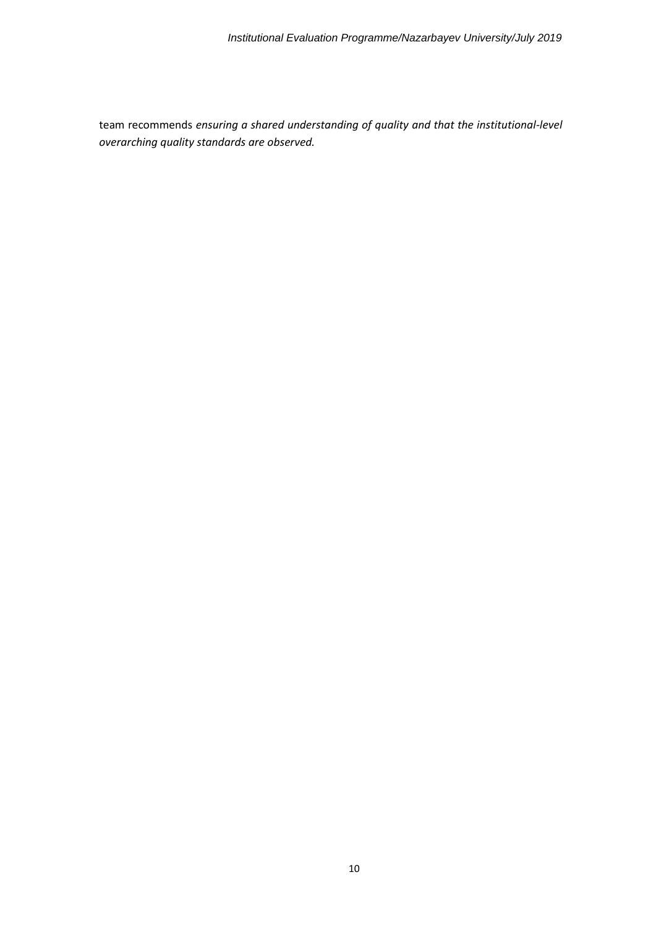team recommends *ensuring a shared understanding of quality and that the institutional-level overarching quality standards are observed.*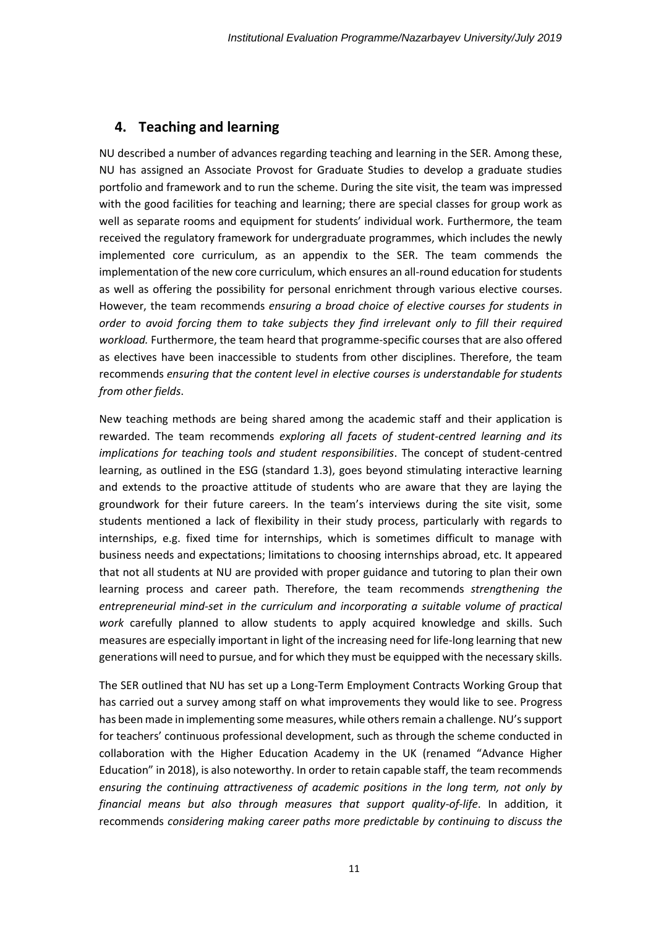### <span id="page-10-0"></span>**4. Teaching and learning**

NU described a number of advances regarding teaching and learning in the SER. Among these, NU has assigned an Associate Provost for Graduate Studies to develop a graduate studies portfolio and framework and to run the scheme. During the site visit, the team was impressed with the good facilities for teaching and learning; there are special classes for group work as well as separate rooms and equipment for students' individual work. Furthermore, the team received the regulatory framework for undergraduate programmes, which includes the newly implemented core curriculum, as an appendix to the SER. The team commends the implementation of the new core curriculum, which ensures an all-round education for students as well as offering the possibility for personal enrichment through various elective courses. However, the team recommends *ensuring a broad choice of elective courses for students in order to avoid forcing them to take subjects they find irrelevant only to fill their required workload.* Furthermore, the team heard that programme-specific courses that are also offered as electives have been inaccessible to students from other disciplines. Therefore, the team recommends *ensuring that the content level in elective courses is understandable for students from other fields*.

New teaching methods are being shared among the academic staff and their application is rewarded. The team recommends *exploring all facets of student-centred learning and its implications for teaching tools and student responsibilities*. The concept of student-centred learning, as outlined in the ESG (standard 1.3), goes beyond stimulating interactive learning and extends to the proactive attitude of students who are aware that they are laying the groundwork for their future careers. In the team's interviews during the site visit, some students mentioned a lack of flexibility in their study process, particularly with regards to internships, e.g. fixed time for internships, which is sometimes difficult to manage with business needs and expectations; limitations to choosing internships abroad, etc. It appeared that not all students at NU are provided with proper guidance and tutoring to plan their own learning process and career path. Therefore, the team recommends *strengthening the entrepreneurial mind-set in the curriculum and incorporating a suitable volume of practical work* carefully planned to allow students to apply acquired knowledge and skills. Such measures are especially important in light of the increasing need for life-long learning that new generations will need to pursue, and for which they must be equipped with the necessary skills.

The SER outlined that NU has set up a Long-Term Employment Contracts Working Group that has carried out a survey among staff on what improvements they would like to see. Progress has been made in implementing some measures, while others remain a challenge. NU's support for teachers' continuous professional development, such as through the scheme conducted in collaboration with the Higher Education Academy in the UK (renamed "Advance Higher Education" in 2018), is also noteworthy. In order to retain capable staff, the team recommends *ensuring the continuing attractiveness of academic positions in the long term, not only by financial means but also through measures that support quality-of-life*. In addition, it recommends *considering making career paths more predictable by continuing to discuss the*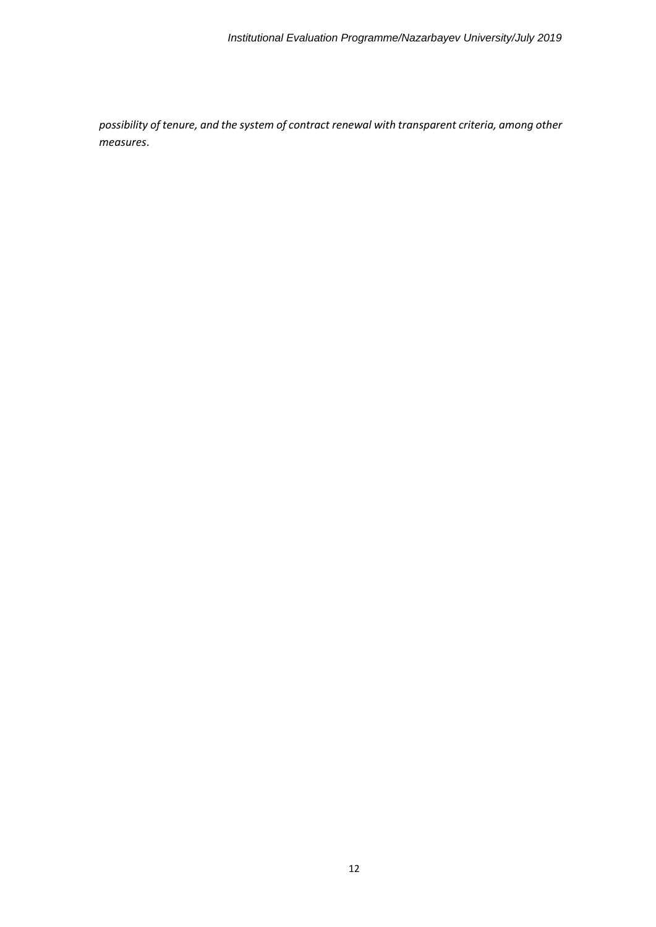*possibility of tenure, and the system of contract renewal with transparent criteria, among other measures*.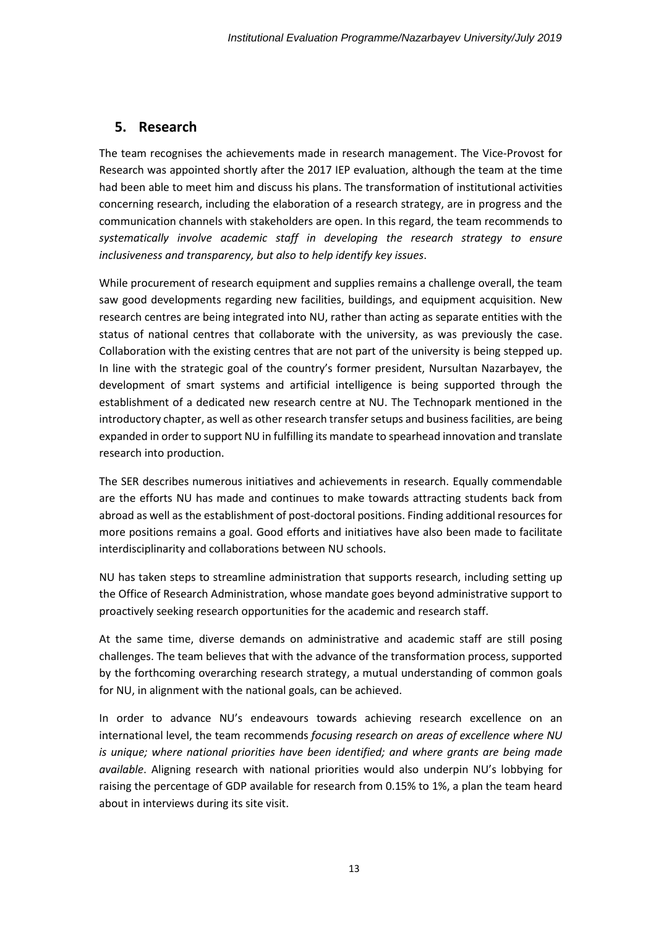## <span id="page-12-0"></span>**5. Research**

The team recognises the achievements made in research management. The Vice-Provost for Research was appointed shortly after the 2017 IEP evaluation, although the team at the time had been able to meet him and discuss his plans. The transformation of institutional activities concerning research, including the elaboration of a research strategy, are in progress and the communication channels with stakeholders are open. In this regard, the team recommends to *systematically involve academic staff in developing the research strategy to ensure inclusiveness and transparency, but also to help identify key issues*.

While procurement of research equipment and supplies remains a challenge overall, the team saw good developments regarding new facilities, buildings, and equipment acquisition. New research centres are being integrated into NU, rather than acting as separate entities with the status of national centres that collaborate with the university, as was previously the case. Collaboration with the existing centres that are not part of the university is being stepped up. In line with the strategic goal of the country's former president, Nursultan Nazarbayev, the development of smart systems and artificial intelligence is being supported through the establishment of a dedicated new research centre at NU. The Technopark mentioned in the introductory chapter, as well as other research transfer setups and business facilities, are being expanded in order to support NU in fulfilling its mandate to spearhead innovation and translate research into production.

The SER describes numerous initiatives and achievements in research. Equally commendable are the efforts NU has made and continues to make towards attracting students back from abroad as well as the establishment of post-doctoral positions. Finding additional resources for more positions remains a goal. Good efforts and initiatives have also been made to facilitate interdisciplinarity and collaborations between NU schools.

NU has taken steps to streamline administration that supports research, including setting up the Office of Research Administration, whose mandate goes beyond administrative support to proactively seeking research opportunities for the academic and research staff.

At the same time, diverse demands on administrative and academic staff are still posing challenges. The team believes that with the advance of the transformation process, supported by the forthcoming overarching research strategy, a mutual understanding of common goals for NU, in alignment with the national goals, can be achieved.

In order to advance NU's endeavours towards achieving research excellence on an international level, the team recommends *focusing research on areas of excellence where NU is unique; where national priorities have been identified; and where grants are being made available*. Aligning research with national priorities would also underpin NU's lobbying for raising the percentage of GDP available for research from 0.15% to 1%, a plan the team heard about in interviews during its site visit.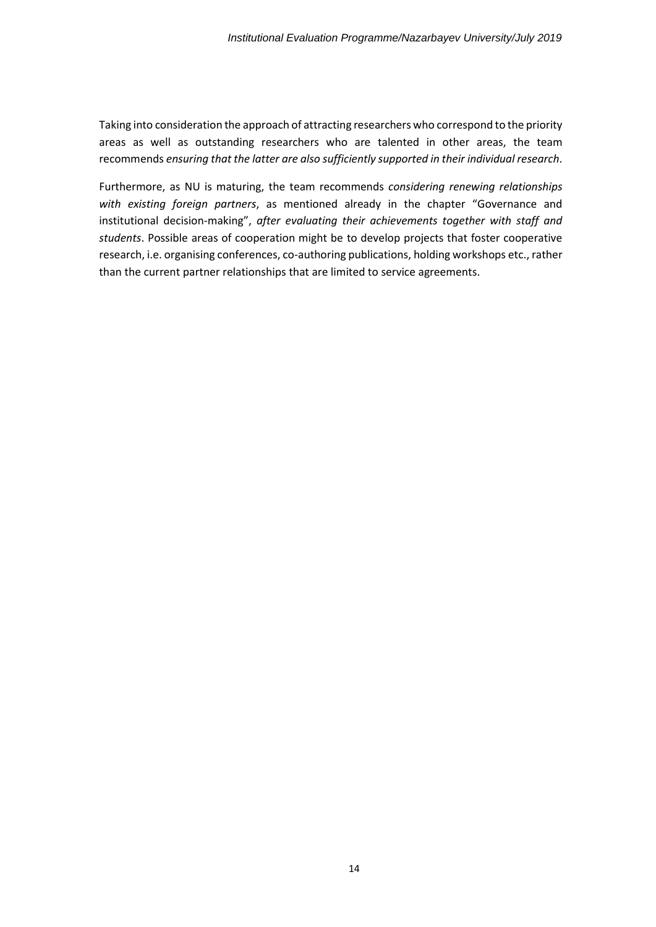Taking into consideration the approach of attracting researchers who correspond to the priority areas as well as outstanding researchers who are talented in other areas, the team recommends *ensuring that the latter are also sufficiently supported in their individual research*.

Furthermore, as NU is maturing, the team recommends *considering renewing relationships with existing foreign partners*, as mentioned already in the chapter "Governance and institutional decision-making", *after evaluating their achievements together with staff and students*. Possible areas of cooperation might be to develop projects that foster cooperative research, i.e. organising conferences, co-authoring publications, holding workshops etc., rather than the current partner relationships that are limited to service agreements.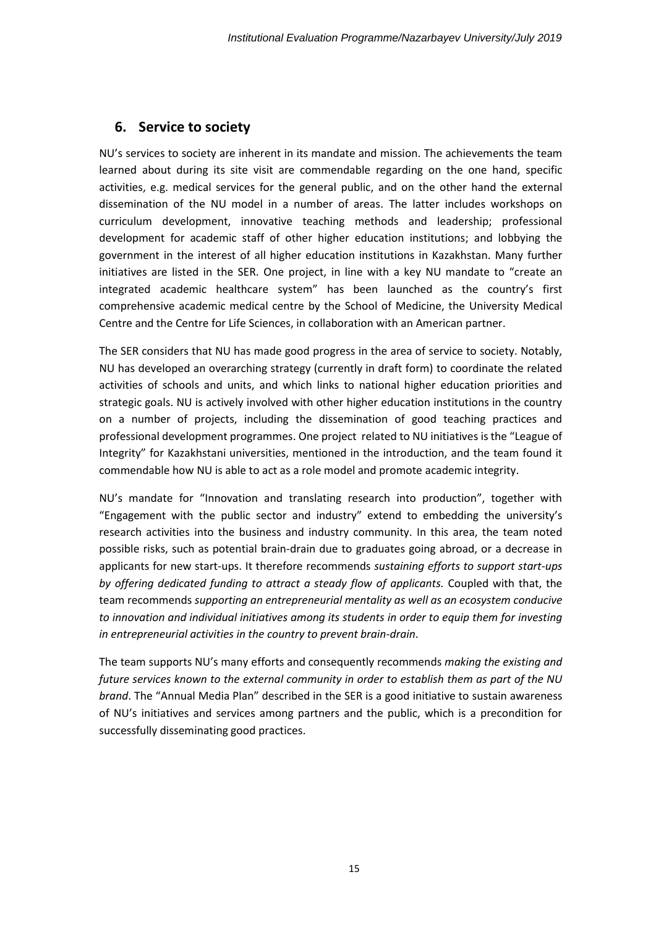### <span id="page-14-0"></span>**6. Service to society**

NU's services to society are inherent in its mandate and mission. The achievements the team learned about during its site visit are commendable regarding on the one hand, specific activities, e.g. medical services for the general public, and on the other hand the external dissemination of the NU model in a number of areas. The latter includes workshops on curriculum development, innovative teaching methods and leadership; professional development for academic staff of other higher education institutions; and lobbying the government in the interest of all higher education institutions in Kazakhstan. Many further initiatives are listed in the SER. One project, in line with a key NU mandate to "create an integrated academic healthcare system" has been launched as the country's first comprehensive academic medical centre by the School of Medicine, the University Medical Centre and the Centre for Life Sciences, in collaboration with an American partner.

The SER considers that NU has made good progress in the area of service to society. Notably, NU has developed an overarching strategy (currently in draft form) to coordinate the related activities of schools and units, and which links to national higher education priorities and strategic goals. NU is actively involved with other higher education institutions in the country on a number of projects, including the dissemination of good teaching practices and professional development programmes. One project related to NU initiatives is the "League of Integrity" for Kazakhstani universities, mentioned in the introduction, and the team found it commendable how NU is able to act as a role model and promote academic integrity.

NU's mandate for "Innovation and translating research into production", together with "Engagement with the public sector and industry" extend to embedding the university's research activities into the business and industry community. In this area, the team noted possible risks, such as potential brain-drain due to graduates going abroad, or a decrease in applicants for new start-ups. It therefore recommends *sustaining efforts to support start-ups by offering dedicated funding to attract a steady flow of applicants.* Coupled with that, the team recommends *supporting an entrepreneurial mentality as well as an ecosystem conducive to innovation and individual initiatives among its students in order to equip them for investing in entrepreneurial activities in the country to prevent brain-drain*.

The team supports NU's many efforts and consequently recommends *making the existing and future services known to the external community in order to establish them as part of the NU brand*. The "Annual Media Plan" described in the SER is a good initiative to sustain awareness of NU's initiatives and services among partners and the public, which is a precondition for successfully disseminating good practices.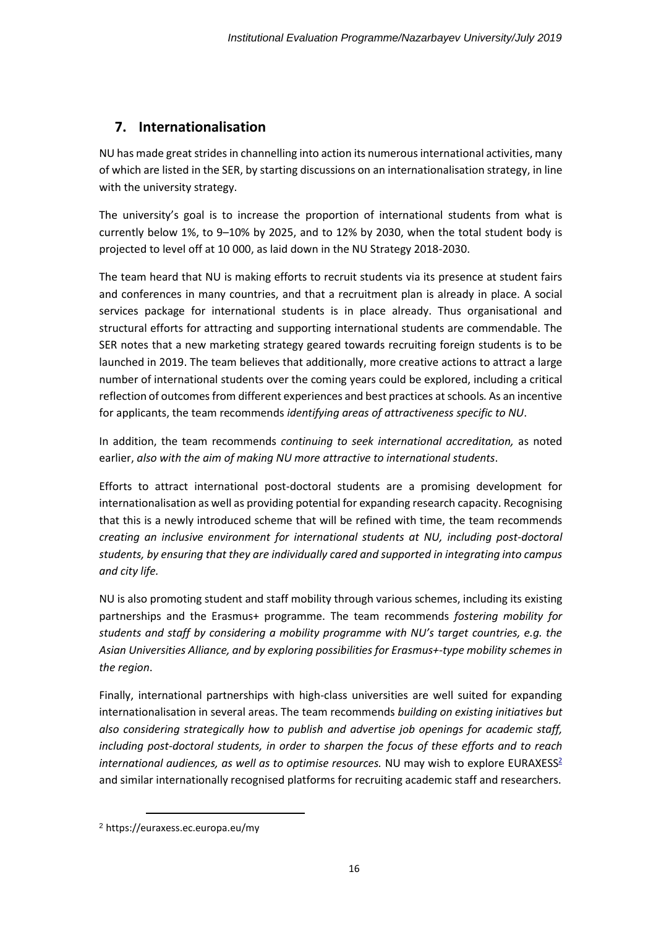## <span id="page-15-0"></span>**7. Internationalisation**

NU has made great strides in channelling into action its numerous international activities, many of which are listed in the SER, by starting discussions on an internationalisation strategy, in line with the university strategy.

The university's goal is to increase the proportion of international students from what is currently below 1%, to 9–10% by 2025, and to 12% by 2030, when the total student body is projected to level off at 10 000, as laid down in the NU Strategy 2018-2030.

The team heard that NU is making efforts to recruit students via its presence at student fairs and conferences in many countries, and that a recruitment plan is already in place. A social services package for international students is in place already. Thus organisational and structural efforts for attracting and supporting international students are commendable. The SER notes that a new marketing strategy geared towards recruiting foreign students is to be launched in 2019. The team believes that additionally, more creative actions to attract a large number of international students over the coming years could be explored, including a critical reflection of outcomes from different experiences and best practices atschools*.* As an incentive for applicants, the team recommends *identifying areas of attractiveness specific to NU*.

In addition, the team recommends *continuing to seek international accreditation,* as noted earlier, *also with the aim of making NU more attractive to international students*.

Efforts to attract international post-doctoral students are a promising development for internationalisation as well as providing potential for expanding research capacity. Recognising that this is a newly introduced scheme that will be refined with time, the team recommends *creating an inclusive environment for international students at NU, including post-doctoral students, by ensuring that they are individually cared and supported in integrating into campus and city life.*

NU is also promoting student and staff mobility through various schemes, including its existing partnerships and the Erasmus+ programme. The team recommends *fostering mobility for students and staff by considering a mobility programme with NU's target countries, e.g. the Asian Universities Alliance, and by exploring possibilities for Erasmus+-type mobility schemes in the region*.

Finally, international partnerships with high-class universities are well suited for expanding internationalisation in several areas. The team recommends *building on existing initiatives but also considering strategically how to publish and advertise job openings for academic staff, including post-doctoral students, in order to sharpen the focus of these efforts and to reach international audiences, as well as to optimise resources.* NU may wish to explore EURAXESS<sup>2</sup> and similar internationally recognised platforms for recruiting academic staff and researchers.

<sup>2</sup> <https://euraxess.ec.europa.eu/my>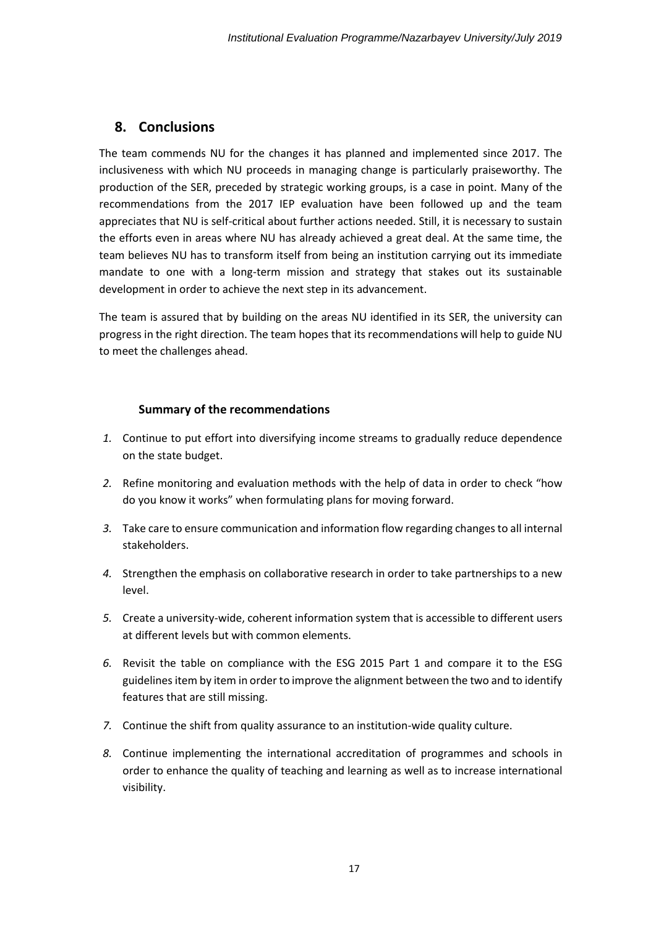### <span id="page-16-0"></span>**8. Conclusions**

The team commends NU for the changes it has planned and implemented since 2017. The inclusiveness with which NU proceeds in managing change is particularly praiseworthy. The production of the SER, preceded by strategic working groups, is a case in point. Many of the recommendations from the 2017 IEP evaluation have been followed up and the team appreciates that NU is self-critical about further actions needed. Still, it is necessary to sustain the efforts even in areas where NU has already achieved a great deal. At the same time, the team believes NU has to transform itself from being an institution carrying out its immediate mandate to one with a long-term mission and strategy that stakes out its sustainable development in order to achieve the next step in its advancement.

The team is assured that by building on the areas NU identified in its SER, the university can progress in the right direction. The team hopes that its recommendations will help to guide NU to meet the challenges ahead.

#### **Summary of the recommendations**

- *1.* Continue to put effort into diversifying income streams to gradually reduce dependence on the state budget.
- *2.* Refine monitoring and evaluation methods with the help of data in order to check "how do you know it works" when formulating plans for moving forward.
- *3.* Take care to ensure communication and information flow regarding changes to all internal stakeholders.
- *4.* Strengthen the emphasis on collaborative research in order to take partnerships to a new level.
- *5.* Create a university-wide, coherent information system that is accessible to different users at different levels but with common elements.
- *6.* Revisit the table on compliance with the ESG 2015 Part 1 and compare it to the ESG guidelines item by item in order to improve the alignment between the two and to identify features that are still missing.
- *7.* Continue the shift from quality assurance to an institution-wide quality culture.
- *8.* Continue implementing the international accreditation of programmes and schools in order to enhance the quality of teaching and learning as well as to increase international visibility.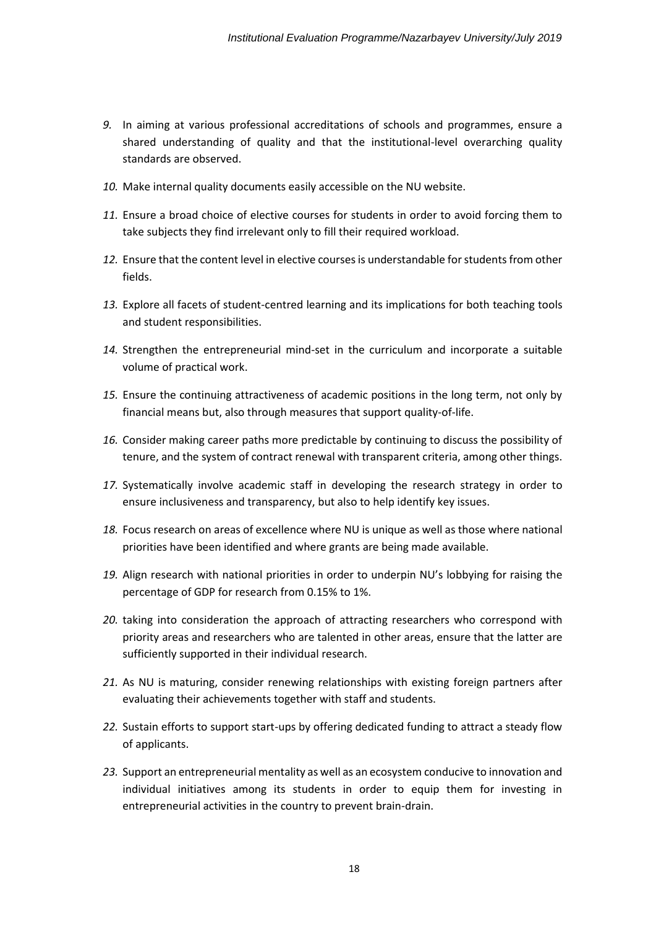- *9.* In aiming at various professional accreditations of schools and programmes, ensure a shared understanding of quality and that the institutional-level overarching quality standards are observed.
- *10.* Make internal quality documents easily accessible on the NU website.
- *11.* Ensure a broad choice of elective courses for students in order to avoid forcing them to take subjects they find irrelevant only to fill their required workload.
- *12.* Ensure that the content level in elective coursesis understandable for students from other fields.
- *13.* Explore all facets of student-centred learning and its implications for both teaching tools and student responsibilities.
- *14.* Strengthen the entrepreneurial mind-set in the curriculum and incorporate a suitable volume of practical work.
- *15.* Ensure the continuing attractiveness of academic positions in the long term, not only by financial means but, also through measures that support quality-of-life.
- *16.* Consider making career paths more predictable by continuing to discuss the possibility of tenure, and the system of contract renewal with transparent criteria, among other things.
- *17.* Systematically involve academic staff in developing the research strategy in order to ensure inclusiveness and transparency, but also to help identify key issues.
- *18.* Focus research on areas of excellence where NU is unique as well as those where national priorities have been identified and where grants are being made available.
- *19.* Align research with national priorities in order to underpin NU's lobbying for raising the percentage of GDP for research from 0.15% to 1%.
- *20.* taking into consideration the approach of attracting researchers who correspond with priority areas and researchers who are talented in other areas, ensure that the latter are sufficiently supported in their individual research.
- *21.* As NU is maturing, consider renewing relationships with existing foreign partners after evaluating their achievements together with staff and students.
- *22.* Sustain efforts to support start-ups by offering dedicated funding to attract a steady flow of applicants.
- *23.* Support an entrepreneurial mentality as well as an ecosystem conducive to innovation and individual initiatives among its students in order to equip them for investing in entrepreneurial activities in the country to prevent brain-drain.